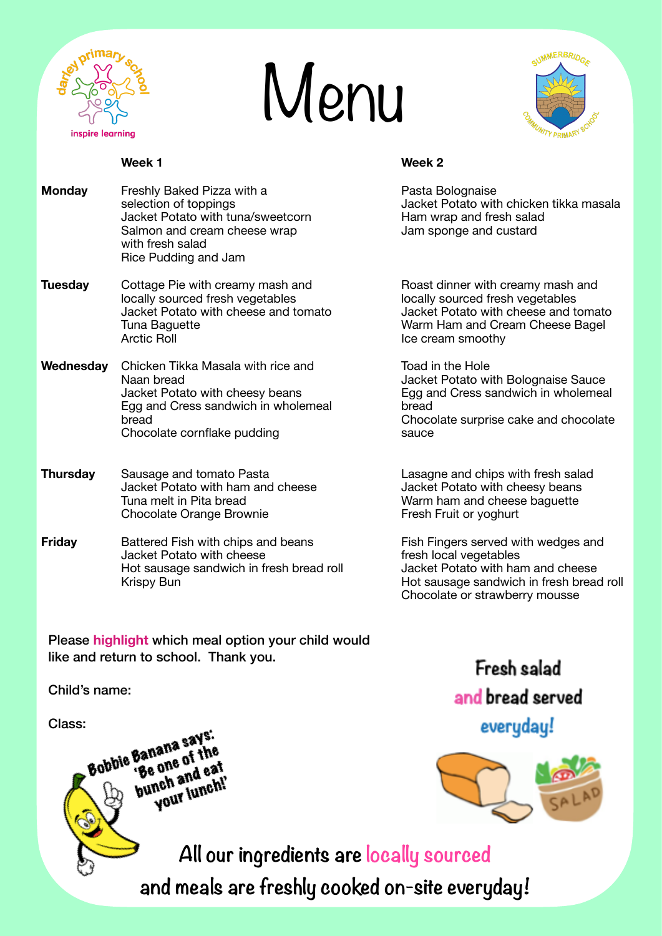

## Menu



## **Week 1 Week 2**

 with fresh salad 

 Rice Pudding and Jam

**Monday** Freshly Baked Pizza with a *Pasta Bolognaise* Pasta Bolognaise selection of toppings **Superings** and the Uacket Potato with chicken tikka masala Jacket Potato with tuna/sweetcorn **Ham wrap and fresh salad** Salmon and cream cheese wrap *Salmon and custard* Jam sponge and custard

**Tuesday** Cottage Pie with creamy mash and **Tuesday** Cottage Pie with creamy mash and **Tuesday** Cottage Pie with creamy sourced fresh vegetables locally sourced fresh vegetables Jacket Potato with cheese and tomato Jacket Potato with cheese and tomato Tuna Baguette **Tuna Baguette and Cream Cheese Bagel**<br>
Arctic Roll **Arctic Roll CREAM** Cream Smoothy

**Wednesday** Chicken Tikka Masala with rice and **Toad in the Hole** Naan bread **Name is a set of the Contract Contract Contract Contract Potato with Bolognaise Sauce** Egg and Cress sandwich in wholemeal bread Chocolate cornflake pudding and the sauce sauce

**Thursday** Sausage and tomato Pasta **being a controlled and chips with fresh salad**  Jacket Potato with ham and cheese Jacket Potato with cheesy beans Tuna melt in Pita bread **Warm ham and cheese baguette** Warm ham and cheese baguette Chocolate Orange Brownie **Example 20** Fresh Fruit or yoghurt

**Friday** Battered Fish with chips and beans **Figure 1** Fish Fingers served with wedges and Jacket Potato with cheese<br>
Hot sausage sandwich in fresh bread roll acket Potato with ham and cheese Hot sausage sandwich in fresh bread roll<br>Krispy Bun

Please **highlight** which meal option your child would like and return to school. Thank you.

Child's name:

Class:<br>Robbie Banana says Banana says.<br>'Be one of the<br>'Be one and ea' Banane of The<br>'Be one of the<br>bunch and eat **nch and explit**<br>Your lunch!' Ice cream smoothy

Jacket Potato with cheesy beans **Egg and Cress sandwich in wholemeal bread bread** *bread*  *Chocolate surprise cake and chocolate* 

Hot sausage sandwich in fresh bread roll Chocolate or strawberry mousse





**All our ingredients are locally sourced and meals are freshly cooked on-site everyday!**